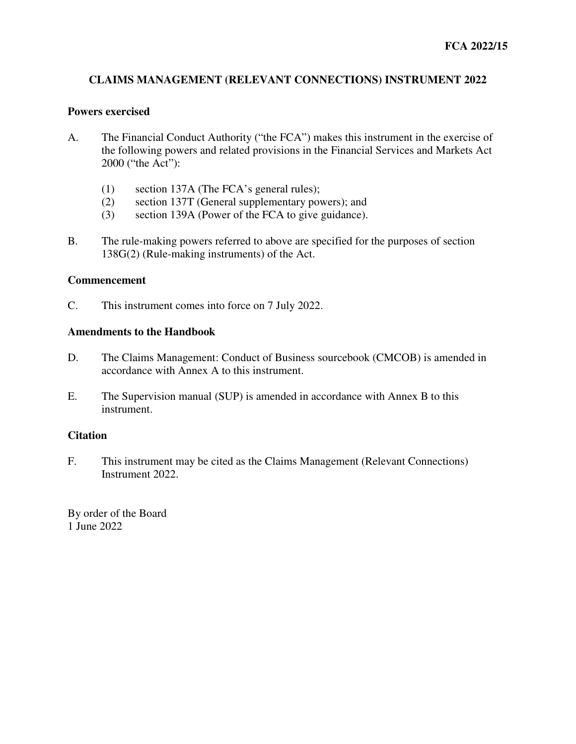# **CLAIMS MANAGEMENT (RELEVANT CONNECTIONS) INSTRUMENT 2022**

### **Powers exercised**

- A. The Financial Conduct Authority ("the FCA") makes this instrument in the exercise of the following powers and related provisions in the Financial Services and Markets Act 2000 ("the Act"):
	- (1) section 137A (The FCA's general rules);
	- (2) section 137T (General supplementary powers); and
	- (3) section 139A (Power of the FCA to give guidance).
- B. The rule-making powers referred to above are specified for the purposes of section 138G(2) (Rule-making instruments) of the Act.

### **Commencement**

C. This instrument comes into force on 7 July 2022.

### **Amendments to the Handbook**

- D. The Claims Management: Conduct of Business sourcebook (CMCOB) is amended in accordance with Annex A to this instrument.
- E. The Supervision manual (SUP) is amended in accordance with Annex B to this instrument.

### **Citation**

F. This instrument may be cited as the Claims Management (Relevant Connections) Instrument 2022.

By order of the Board 1 June 2022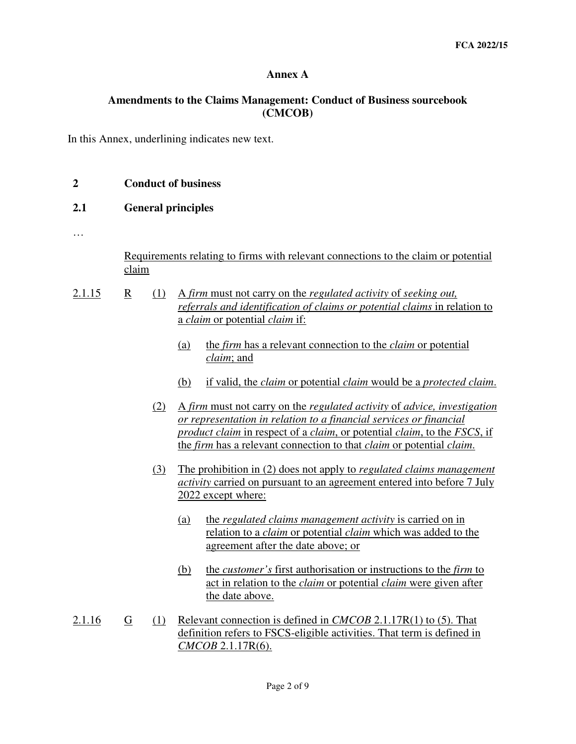## **Annex A**

## **Amendments to the Claims Management: Conduct of Business sourcebook (CMCOB)**

In this Annex, underlining indicates new text.

| $\mathbf{2}$ |                           | <b>Conduct of business</b>                                                                                                                                                                   |  |  |  |  |  |
|--------------|---------------------------|----------------------------------------------------------------------------------------------------------------------------------------------------------------------------------------------|--|--|--|--|--|
| 2.1          | <b>General principles</b> |                                                                                                                                                                                              |  |  |  |  |  |
|              |                           |                                                                                                                                                                                              |  |  |  |  |  |
|              | claim                     | Requirements relating to firms with relevant connections to the claim or potential                                                                                                           |  |  |  |  |  |
| 2.1.15       | R<br>(1)                  | A firm must not carry on the regulated activity of seeking out,<br>referrals and identification of claims or potential claims in relation to<br>a <i>claim</i> or potential <i>claim</i> if: |  |  |  |  |  |
|              |                           | the <i>firm</i> has a relevant connection to the <i>claim</i> or potential<br>(a)<br><i>claim</i> ; and                                                                                      |  |  |  |  |  |

- (b) if valid, the *claim* or potential *claim* would be a *protected claim*.
- (2) A *firm* must not carry on the *regulated activity* of *advice, investigation or representation in relation to a financial services or financial product claim* in respect of a *claim*, or potential *claim*, to the *FSCS*, if the *firm* has a relevant connection to that *claim* or potential *claim*.
- (3) The prohibition in (2) does not apply to *regulated claims management activity* carried on pursuant to an agreement entered into before 7 July 2022 except where:
	- (a) the *regulated claims management activity* is carried on in relation to a *claim* or potential *claim* which was added to the agreement after the date above; or
	- (b) the *customer's* first authorisation or instructions to the *firm* to act in relation to the *claim* or potential *claim* were given after the date above.
- 2.1.16 G (1) Relevant connection is defined in *CMCOB* 2.1.17R(1) to (5). That definition refers to FSCS-eligible activities. That term is defined in *CMCOB* 2.1.17R(6).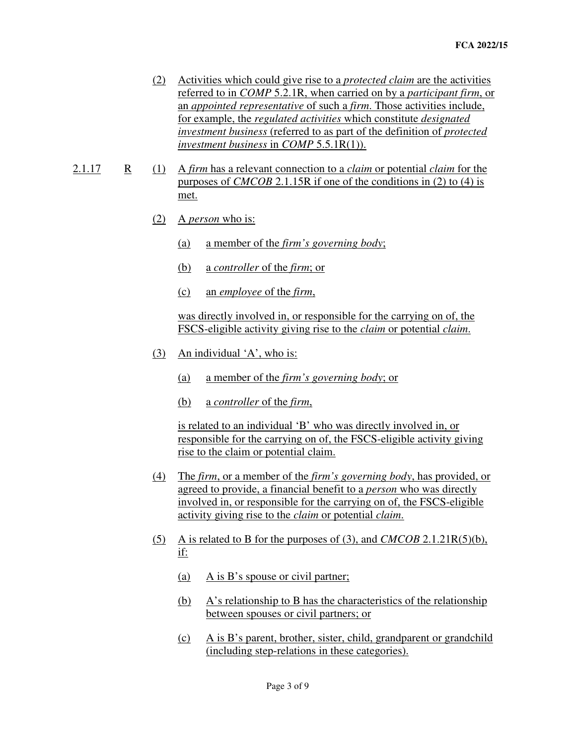- (2) Activities which could give rise to a *protected claim* are the activities referred to in *COMP* 5.2.1R, when carried on by a *participant firm*, or an *appointed representative* of such a *firm*. Those activities include, for example, the *regulated activities* which constitute *designated investment business* (referred to as part of the definition of *protected investment business* in *COMP* 5.5.1R(1)).
- 2.1.17 R (1) A *firm* has a relevant connection to a *claim* or potential *claim* for the purposes of *CMCOB* 2.1.15R if one of the conditions in (2) to (4) is met.
	- (2) A *person* who is:
		- (a) a member of the *firm's governing body*;
		- (b) a *controller* of the *firm*; or
		- (c) an *employee* of the *firm*,

 was directly involved in, or responsible for the carrying on of, the FSCS-eligible activity giving rise to the *claim* or potential *claim*.

- (3) An individual 'A', who is:
	- (a) a member of the *firm's governing body*; or
	- (b) a *controller* of the *firm*,

 is related to an individual 'B' who was directly involved in, or responsible for the carrying on of, the FSCS-eligible activity giving rise to the claim or potential claim.

- (4) The *firm*, or a member of the *firm's governing body*, has provided, or agreed to provide, a financial benefit to a *person* who was directly involved in, or responsible for the carrying on of, the FSCS-eligible activity giving rise to the *claim* or potential *claim*.
- (5) A is related to B for the purposes of (3), and *CMCOB* 2.1.21R(5)(b), if:
	- (a) A is B's spouse or civil partner;
	- (b) A's relationship to B has the characteristics of the relationship between spouses or civil partners; or
	- (c) A is B's parent, brother, sister, child, grandparent or grandchild (including step-relations in these categories).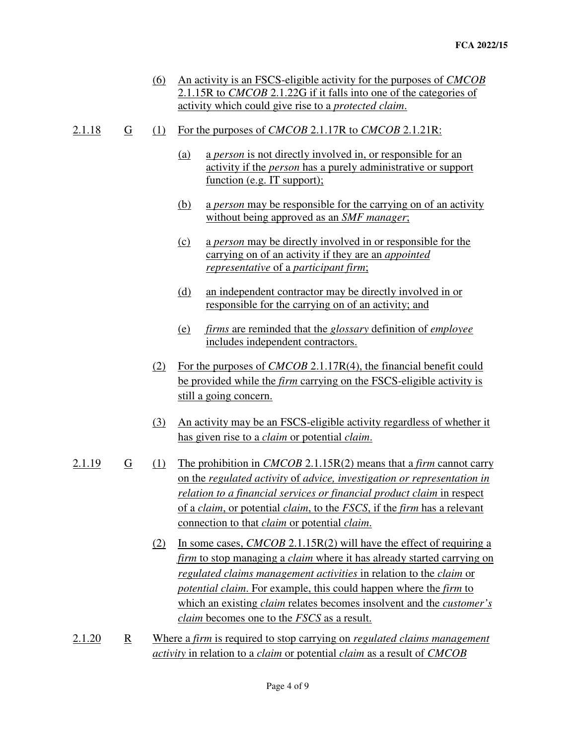- (6) An activity is an FSCS-eligible activity for the purposes of *CMCOB* 2.1.15R to *CMCOB* 2.1.22G if it falls into one of the categories of activity which could give rise to a *protected claim*.
- 2.1.18 G (1) For the purposes of *CMCOB* 2.1.17R to *CMCOB* 2.1.21R:
	- (a) a *person* is not directly involved in, or responsible for an activity if the *person* has a purely administrative or support function (e.g. IT support);
	- (b) a *person* may be responsible for the carrying on of an activity without being approved as an *SMF manager*;
	- (c) a *person* may be directly involved in or responsible for the carrying on of an activity if they are an *appointed representative* of a *participant firm*;
	- (d) an independent contractor may be directly involved in or responsible for the carrying on of an activity; and
	- (e) *firms* are reminded that the *glossary* definition of *employee* includes independent contractors.
	- (2) For the purposes of *CMCOB* 2.1.17R(4), the financial benefit could be provided while the *firm* carrying on the FSCS-eligible activity is still a going concern.
	- (3) An activity may be an FSCS-eligible activity regardless of whether it has given rise to a *claim* or potential *claim*.
- 2.1.19 G (1) The prohibition in *CMCOB* 2.1.15R(2) means that a *firm* cannot carry on the *regulated activity* of *advice, investigation or representation in relation to a financial services or financial product claim* in respect of a *claim*, or potential *claim*, to the *FSCS*, if the *firm* has a relevant connection to that *claim* or potential *claim*.
	- (2) In some cases, *CMCOB* 2.1.15R(2) will have the effect of requiring a *firm* to stop managing a *claim* where it has already started carrying on *regulated claims management activities* in relation to the *claim* or *potential claim*. For example, this could happen where the *firm* to which an existing *claim* relates becomes insolvent and the *customer's claim* becomes one to the *FSCS* as a result.
- 2.1.20 R Where a *firm* is required to stop carrying on *regulated claims management activity* in relation to a *claim* or potential *claim* as a result of *CMCOB*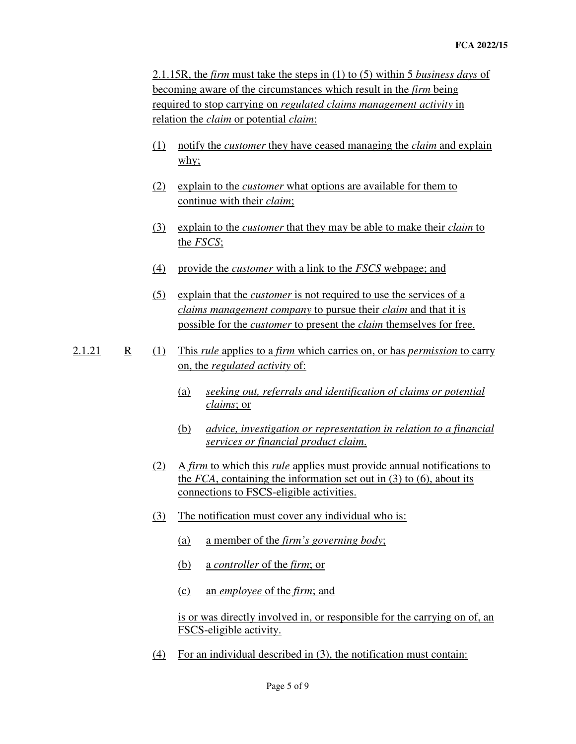2.1.15R, the *firm* must take the steps in (1) to (5) within 5 *business days* of becoming aware of the circumstances which result in the *firm* being required to stop carrying on *regulated claims management activity* in relation the *claim* or potential *claim*:

- (1) notify the *customer* they have ceased managing the *claim* and explain why;
- (2) explain to the *customer* what options are available for them to continue with their *claim*;
- (3) explain to the *customer* that they may be able to make their *claim* to the *FSCS*;
- (4) provide the *customer* with a link to the *FSCS* webpage; and
- (5) explain that the *customer* is not required to use the services of a *claims management company* to pursue their *claim* and that it is possible for the *customer* to present the *claim* themselves for free.
- 2.1.21 R (1) This *rule* applies to a *firm* which carries on, or has *permission* to carry on, the *regulated activity* of:
	- (a) *seeking out, referrals and identification of claims or potential claims*; or
	- (b) *advice, investigation or representation in relation to a financial services or financial product claim*.
	- (2) A *firm* to which this *rule* applies must provide annual notifications to the *FCA*, containing the information set out in (3) to (6), about its connections to FSCS-eligible activities.
	- (3) The notification must cover any individual who is:
		- (a) a member of the *firm's governing body*;
		- (b) a *controller* of the *firm*; or
		- (c) an *employee* of the *firm*; and

 is or was directly involved in, or responsible for the carrying on of, an FSCS-eligible activity.

(4) For an individual described in (3), the notification must contain: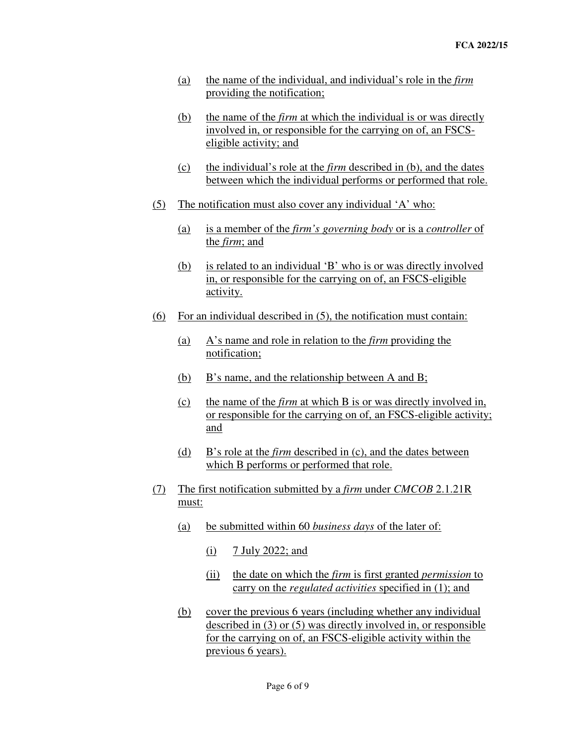- (a) the name of the individual, and individual's role in the *firm* providing the notification;
- (b) the name of the *firm* at which the individual is or was directly involved in, or responsible for the carrying on of, an FSCSeligible activity; and
- (c) the individual's role at the *firm* described in (b), and the dates between which the individual performs or performed that role.
- (5) The notification must also cover any individual 'A' who:
	- (a) is a member of the *firm's governing body* or is a *controller* of the *firm*; and
	- (b) is related to an individual 'B' who is or was directly involved in, or responsible for the carrying on of, an FSCS-eligible activity.
- (6) For an individual described in (5), the notification must contain:
	- (a) A's name and role in relation to the *firm* providing the notification;
	- (b) B's name, and the relationship between A and B;
	- (c) the name of the *firm* at which B is or was directly involved in, or responsible for the carrying on of, an FSCS-eligible activity; and
	- (d) B's role at the *firm* described in (c), and the dates between which B performs or performed that role.
- (7) The first notification submitted by a *firm* under *CMCOB* 2.1.21R must:
	- (a) be submitted within 60 *business days* of the later of:
		- (i)  $7 \text{ July } 2022$ ; and
		- (ii) the date on which the *firm* is first granted *permission* to carry on the *regulated activities* specified in (1); and
	- (b) cover the previous 6 years (including whether any individual described in (3) or (5) was directly involved in, or responsible for the carrying on of, an FSCS-eligible activity within the previous 6 years).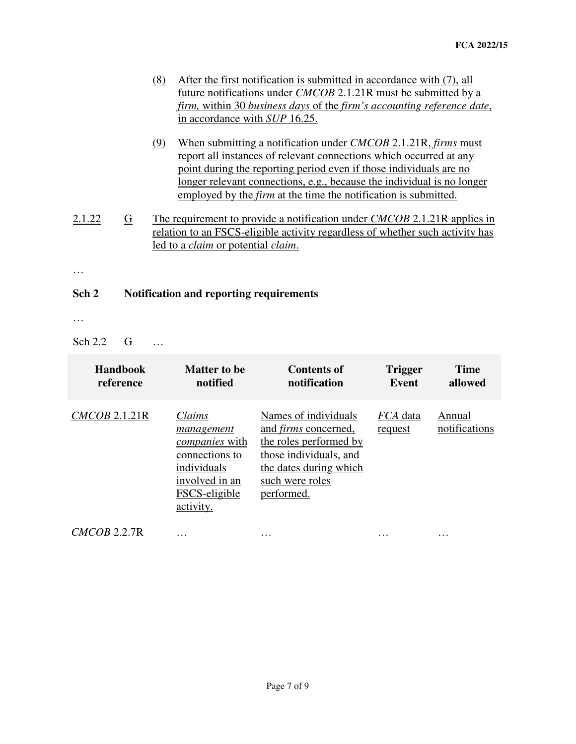| (8) | After the first notification is submitted in accordance with (7), all  |
|-----|------------------------------------------------------------------------|
|     | future notifications under <i>CMCOB</i> 2.1.21R must be submitted by a |
|     | firm, within 30 business days of the firm's accounting reference date, |
|     | in accordance with SUP 16.25.                                          |
|     | When submitting a notification under $CMCOR 2 1 21D$ firms must        |

- (9) When submitting a notification under *CMCOB* 2.1.21R, *firms* must report all instances of relevant connections which occurred at any point during the reporting period even if those individuals are no longer relevant connections, e.g., because the individual is no longer employed by the *firm* at the time the notification is submitted.
- 2.1.22 G The requirement to provide a notification under *CMCOB* 2.1.21R applies in relation to an FSCS-eligible activity regardless of whether such activity has led to a *claim* or potential *claim*.

…

# **Sch 2 Notification and reporting requirements**

…

Sch 2.2 G …

| <b>Handbook</b> | Matter to be                                                                                                                   | Contents of                                                                                                                                                        | <b>Trigger</b>             | <b>Time</b>             |
|-----------------|--------------------------------------------------------------------------------------------------------------------------------|--------------------------------------------------------------------------------------------------------------------------------------------------------------------|----------------------------|-------------------------|
| reference       | notified                                                                                                                       | notification                                                                                                                                                       | <b>Event</b>               | allowed                 |
| CMCOB 2.1.21R   | Claims<br>management<br><i>companies</i> with<br>connections to<br>individuals<br>involved in an<br>FSCS-eligible<br>activity. | Names of individuals<br>and <i>firms</i> concerned,<br>the roles performed by<br>those individuals, and<br>the dates during which<br>such were roles<br>performed. | <i>FCA</i> data<br>request | Annual<br>notifications |

*CMCOB* 2.2.7R … … … …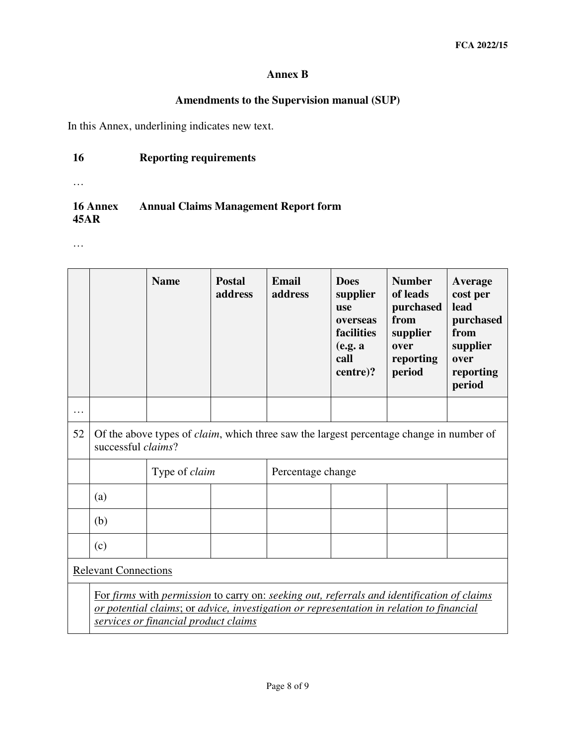# **Annex B**

# **Amendments to the Supervision manual (SUP)**

In this Annex, underlining indicates new text.

# **16 Reporting requirements**

…

#### **16 Annex 45AR Annual Claims Management Report form**

…

|    |                                                                                                                                                                                                                                | <b>Name</b>          | <b>Postal</b><br>address | <b>Email</b><br>address | <b>Does</b><br>supplier<br><b>use</b><br>overseas<br>facilities<br>(e.g. a<br>call<br>centre)? | <b>Number</b><br>of leads<br>purchased<br>from<br>supplier<br>over<br>reporting<br>period | Average<br>cost per<br>lead<br>purchased<br>from<br>supplier<br>over<br>reporting<br>period |
|----|--------------------------------------------------------------------------------------------------------------------------------------------------------------------------------------------------------------------------------|----------------------|--------------------------|-------------------------|------------------------------------------------------------------------------------------------|-------------------------------------------------------------------------------------------|---------------------------------------------------------------------------------------------|
|    |                                                                                                                                                                                                                                |                      |                          |                         |                                                                                                |                                                                                           |                                                                                             |
| 52 | Of the above types of <i>claim</i> , which three saw the largest percentage change in number of<br>successful <i>claims</i> ?                                                                                                  |                      |                          |                         |                                                                                                |                                                                                           |                                                                                             |
|    |                                                                                                                                                                                                                                | Type of <i>claim</i> |                          | Percentage change       |                                                                                                |                                                                                           |                                                                                             |
|    | (a)                                                                                                                                                                                                                            |                      |                          |                         |                                                                                                |                                                                                           |                                                                                             |
|    | (b)                                                                                                                                                                                                                            |                      |                          |                         |                                                                                                |                                                                                           |                                                                                             |
|    | (c)                                                                                                                                                                                                                            |                      |                          |                         |                                                                                                |                                                                                           |                                                                                             |
|    | <b>Relevant Connections</b>                                                                                                                                                                                                    |                      |                          |                         |                                                                                                |                                                                                           |                                                                                             |
|    | For firms with permission to carry on: seeking out, referrals and identification of claims<br>or potential claims; or advice, investigation or representation in relation to financial<br>services or financial product claims |                      |                          |                         |                                                                                                |                                                                                           |                                                                                             |